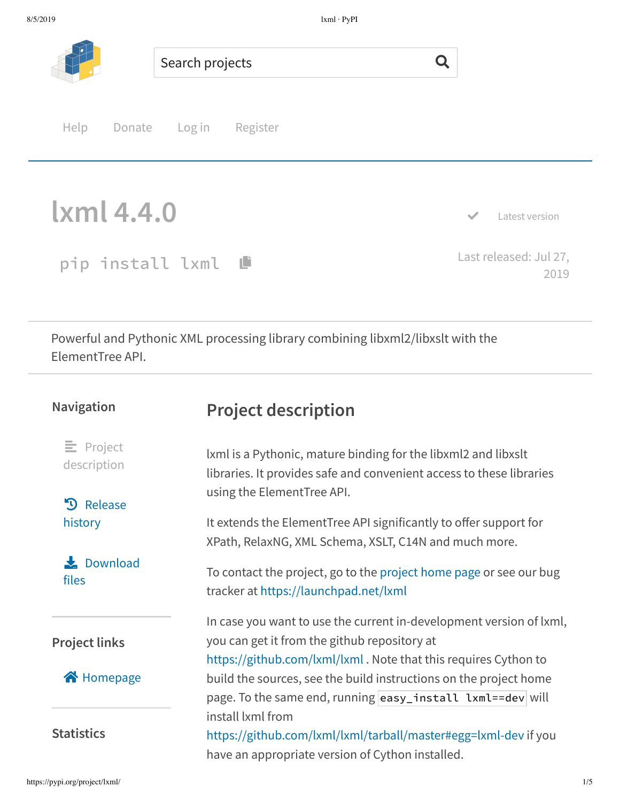

pip install lxml ® Last released: Jul 27, 2019

Powerful and Pythonic XML processing library combining libxml2/libxslt with the ElementTree API.

| <b>Navigation</b>                  | <b>Project description</b>                                                                                                                                                             |
|------------------------------------|----------------------------------------------------------------------------------------------------------------------------------------------------------------------------------------|
| $\equiv$ Project<br>description    | Ixml is a Pythonic, mature binding for the libxml2 and libxslt<br>libraries. It provides safe and convenient access to these libraries<br>using the ElementTree API.                   |
| Release<br>$\mathbf{D}$<br>history | It extends the ElementTree API significantly to offer support for<br>XPath, RelaxNG, XML Schema, XSLT, C14N and much more.                                                             |
| Download<br>files                  | To contact the project, go to the project home page or see our bug<br>tracker at https://launchpad.net/lxml                                                                            |
| <b>Project links</b>               | In case you want to use the current in-development version of lxml,<br>you can get it from the github repository at<br>https://github.com/lxml/lxml. Note that this requires Cython to |
| Homepage                           | build the sources, see the build instructions on the project home<br>page. To the same end, running easy_install lxml==dev will                                                        |
| <b>Statistics</b>                  | install lxml from<br>https://github.com/lxml/lxml/tarball/master#egg=lxml-dev if you<br>have an appropriate version of Cython installed.                                               |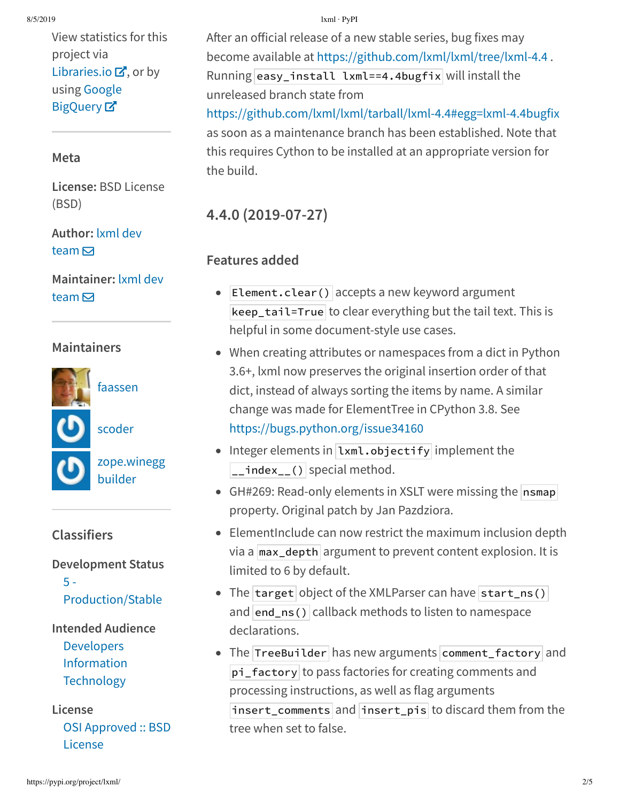View statistics for this project via Libraries.io  $\mathbf{Z}$ , or by using Google **BigQuery**<sub>¤</sub>

### **Meta**

**License:** BSD License (BSD)

### **Author:** lxml dev team  $\overline{\mathbf{S}}$

### **Maintainer:** lxml dev team  $\overline{\mathbf{S}}$

## **Maintainers**



scoder



### **Classifiers**

**Development Status** 5 -

Production/Stable

### **Intended Audience** Developers

Information **Technology** 

**License** OSI Approved :: BSD License

#### 8/5/2019 lxml · PyPI

After an official release of a new stable series, bug fixes may become available at https://github.com/lxml/lxml/tree/lxml-4.4 . Running easy\_install lxml==4.4bugfix will install the unreleased branch state from https://github.com/lxml/lxml/tarball/lxml-4.4#egg=lxml-4.4bugfix as soon as a maintenance branch has been established. Note that this requires Cython to be installed at an appropriate version for

# **4.4.0 (2019-07-27)**

## **Features added**

the build.

- Element.clear() accepts a new keyword argument  $\bullet$ keep\_tail=True to clear everything but the tail text. This is helpful in some document-style use cases.
- When creating attributes or namespaces from a dict in Python 3.6+, lxml now preserves the original insertion order of that dict, instead of always sorting the items by name. A similar change was made for ElementTree in CPython 3.8. See https://bugs.python.org/issue34160
- Integer elements in Lxml.objectify implement the  $\boxed{\underline{\hspace{1cm}}}$  index $\boxed{\hspace{1cm}}$  () special method.
- GH#269: Read-only elements in XSLT were missing the  $n$  nsmap property. Original patch by Jan Pazdziora.
- ElementInclude can now restrict the maximum inclusion depth via a  $\frac{max_{\text{depth}}}{\text{argument}}$  to prevent content explosion. It is limited to 6 by default.
- The target object of the XMLParser can have start\_ns() and  $|end_ns()|$  callback methods to listen to namespace declarations.
- The TreeBuilder has new arguments comment\_factory and pi\_factory to pass factories for creating comments and processing instructions, as well as flag arguments insert\_comments and insert\_pis to discard them from the tree when set to false.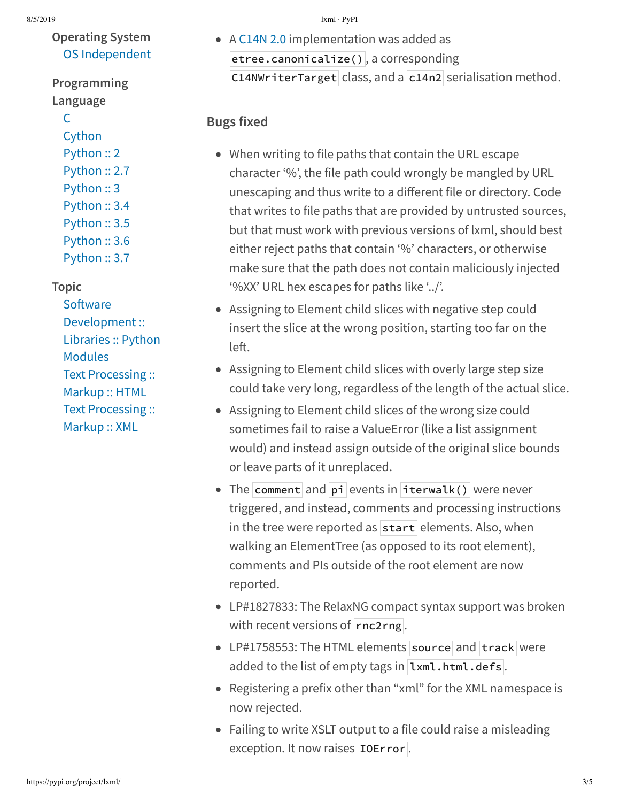## **Operating System** OS Independent

**Programming Language**

#### $\overline{C}$

Cython Python :: 2 Python :: 2.7 Python :: 3 Python :: 3.4 Python :: 3.5 Python :: 3.6 Python :: 3.7

#### **Topic**

Software Development :: Libraries :: Python Modules Text Processing :: Markup :: HTML Text Processing :: Markup :: XML

A C14N 2.0 implementation was added as etree.canonicalize() , a corresponding C14NWriterTarget class, and a  $c14n2$  serialisation method.

### **Bugs fixed**

- When writing to file paths that contain the URL escape character '%', the file path could wrongly be mangled by URL unescaping and thus write to a different file or directory. Code that writes to file paths that are provided by untrusted sources, but that must work with previous versions of lxml, should best either reject paths that contain '%' characters, or otherwise make sure that the path does not contain maliciously injected '%XX' URL hex escapes for paths like '../'.
- Assigning to Element child slices with negative step could insert the slice at the wrong position, starting too far on the left.
- Assigning to Element child slices with overly large step size could take very long, regardless of the length of the actual slice.
- Assigning to Element child slices of the wrong size could sometimes fail to raise a ValueError (like a list assignment would) and instead assign outside of the original slice bounds or leave parts of it unreplaced.
- The comment and pi events in iterwalk() were never triggered, and instead, comments and processing instructions in the tree were reported as  $|\text{start}|$  elements. Also, when walking an ElementTree (as opposed to its root element), comments and PIs outside of the root element are now reported.
- LP#1827833: The RelaxNG compact syntax support was broken with recent versions of  $r_{\text{nc2rng}}$ .
- LP#1758553: The HTML elements source and track were added to the list of empty tags in  $lmm.l.html$ .defs.
- Registering a prefix other than "xml" for the XML namespace is now rejected.
- Failing to write XSLT output to a file could raise a misleading exception. It now raises **IOError**.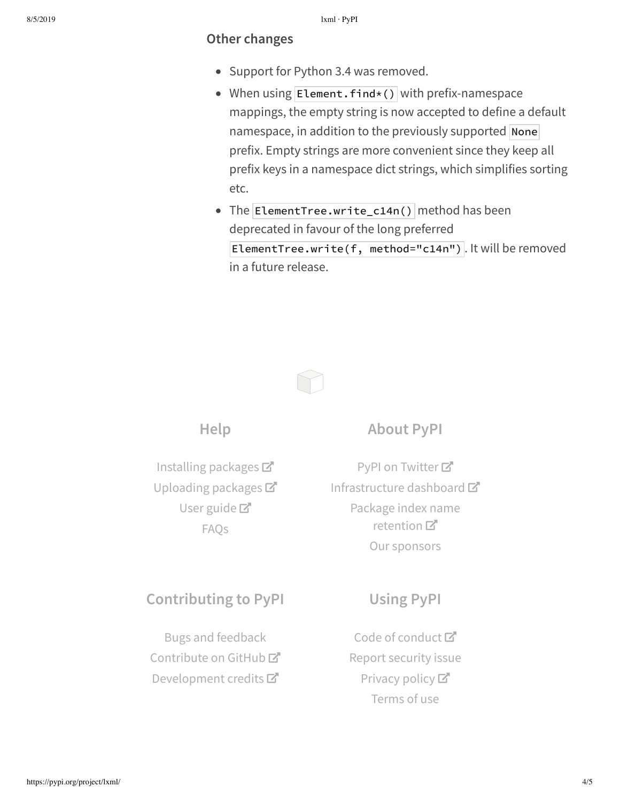#### **Other changes**

- Support for Python 3.4 was removed.
- $\bullet$  When using Element. find\*() with prefix-namespace mappings, the empty string is now accepted to define a default namespace, in addition to the previously supported None prefix. Empty strings are more convenient since they keep all prefix keys in a namespace dict strings, which simplifies sorting etc.
- The ElementTree.write\_c14n() method has been deprecated in favour of the long preferred ElementTree.write(f, method="c14n") . It will be removed in a future release.



**Help**

Installing packages Uploading packages User guide<sup>T</sup> FAQs

### **About PyPI**

PyPI on Twitter<sup>7</sup> Infrastructure dashboard Package index name retention 口 Our sponsors

## **Contributing to PyPI**

Bugs and feedback Contribute on GitHub<sup>C</sup> Development credits

# **Using PyPI**

Code of conduct<sup>™</sup> Report security issue Privacy policy<sup>[2]</sup> Terms of use